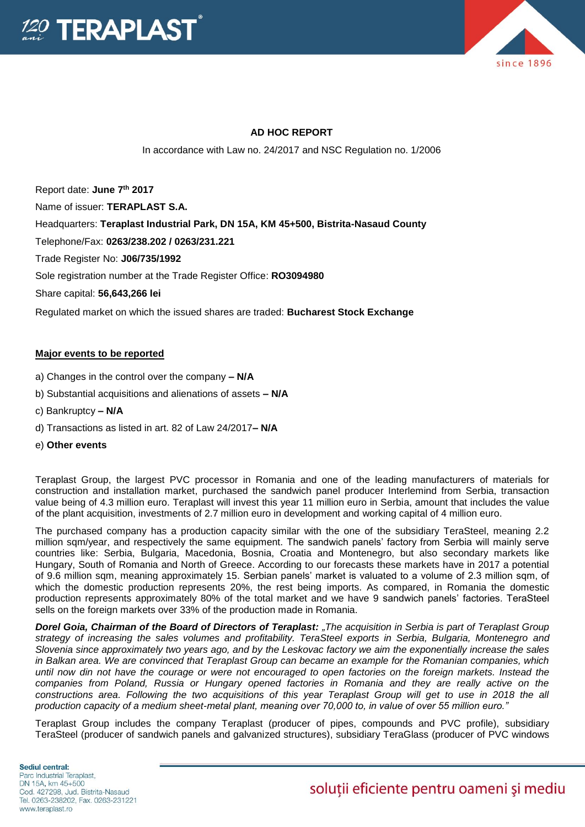



## **AD HOC REPORT**

In accordance with Law no. 24/2017 and NSC Regulation no. 1/2006

Report date: **June 7th 2017** Name of issuer: **TERAPLAST S.A.**  Headquarters: **Teraplast Industrial Park, DN 15A, KM 45+500, Bistrita-Nasaud County** Telephone/Fax: **0263/238.202 / 0263/231.221** Trade Register No: **J06/735/1992** Sole registration number at the Trade Register Office: **RO3094980**

Share capital: **56,643,266 lei** 

Regulated market on which the issued shares are traded: **Bucharest Stock Exchange**

## **Major events to be reported**

- a) Changes in the control over the company **– N/A**
- b) Substantial acquisitions and alienations of assets **– N/A**
- c) Bankruptcy **– N/A**
- d) Transactions as listed in art. 82 of Law 24/2017**– N/A**
- e) **Other events**

Teraplast Group, the largest PVC processor in Romania and one of the leading manufacturers of materials for construction and installation market, purchased the sandwich panel producer Interlemind from Serbia, transaction value being of 4.3 million euro. Teraplast will invest this year 11 million euro in Serbia, amount that includes the value of the plant acquisition, investments of 2.7 million euro in development and working capital of 4 million euro.

The purchased company has a production capacity similar with the one of the subsidiary TeraSteel, meaning 2.2 million sqm/year, and respectively the same equipment. The sandwich panels' factory from Serbia will mainly serve countries like: Serbia, Bulgaria, Macedonia, Bosnia, Croatia and Montenegro, but also secondary markets like Hungary, South of Romania and North of Greece. According to our forecasts these markets have in 2017 a potential of 9.6 million sqm, meaning approximately 15. Serbian panels' market is valuated to a volume of 2.3 million sqm, of which the domestic production represents 20%, the rest being imports. As compared, in Romania the domestic production represents approximately 80% of the total market and we have 9 sandwich panels' factories. TeraSteel sells on the foreign markets over 33% of the production made in Romania.

*Dorel Goia, Chairman of the Board of Directors of Teraplast: "The acquisition in Serbia is part of Teraplast Group strategy of increasing the sales volumes and profitability. TeraSteel exports in Serbia, Bulgaria, Montenegro and Slovenia since approximately two years ago, and by the Leskovac factory we aim the exponentially increase the sales in Balkan area. We are convinced that Teraplast Group can became an example for the Romanian companies, which until now din not have the courage or were not encouraged to open factories on the foreign markets. Instead the companies from Poland, Russia or Hungary opened factories in Romania and they are really active on the*  constructions area. Following the two acquisitions of this year Teraplast Group will get to use in 2018 the all *production capacity of a medium sheet-metal plant, meaning over 70,000 to, in value of over 55 million euro."*

Teraplast Group includes the company Teraplast (producer of pipes, compounds and PVC profile), subsidiary TeraSteel (producer of sandwich panels and galvanized structures), subsidiary TeraGlass (producer of PVC windows

Sediul central: Parc Industrial Teraplast. DN 15A, km 45+500 Cod. 427298. Jud. Bistrita-Nasaud Tel. 0263-238202, Fax. 0263-231221 www.teraplast.ro